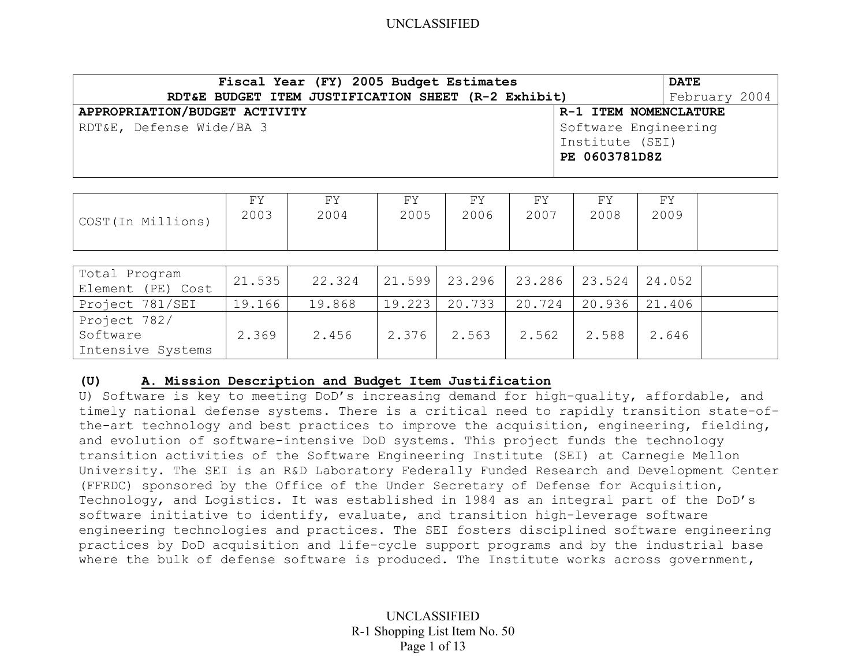| Fiscal Year (FY) 2005 Budget Estimates              | <b>DATE</b>           |               |
|-----------------------------------------------------|-----------------------|---------------|
| RDT&E BUDGET ITEM JUSTIFICATION SHEET (R-2 Exhibit) |                       | February 2004 |
| APPROPRIATION/BUDGET ACTIVITY                       | R-1 ITEM NOMENCLATURE |               |
| RDT&E, Defense Wide/BA 3                            | Software Engineering  |               |
|                                                     | Institute (SEI)       |               |
|                                                     | PE 0603781D8Z         |               |
|                                                     |                       |               |

| COST (In Millions) | UЛ<br>2003 | FΥ<br>2004 | FY.<br><u>_</u><br>2005 | FУ<br>2006 | FY<br>2007 | FY<br>2008 | UЛ<br>2009 |  |
|--------------------|------------|------------|-------------------------|------------|------------|------------|------------|--|
|                    |            |            |                         |            |            |            |            |  |

| Total Program<br>Element (PE) Cost | 21.535 | 22.324 |             | $\vert$ 21.599 $\vert$ 23.296 $\vert$ 23.286 $\vert$ 23.524 $\vert$ 24.052 |                   |       |  |
|------------------------------------|--------|--------|-------------|----------------------------------------------------------------------------|-------------------|-------|--|
| Project 781/SEI                    | 19.166 | 19.868 |             | $19.223$   20.733   20.724                                                 | $20.936$   21.406 |       |  |
| Project 782/                       |        |        |             |                                                                            |                   |       |  |
| Software                           | 2.369  | 2.456  | 2.376 2.563 | $2.562$                                                                    | 2.588             | 2.646 |  |
| Intensive Systems                  |        |        |             |                                                                            |                   |       |  |

#### **(U) A. Mission Description and Budget Item Justification**

U) Software is key to meeting DoD's increasing demand for high-quality, affordable, and timely national defense systems. There is a critical need to rapidly transition state-ofthe-art technology and best practices to improve the acquisition, engineering, fielding, and evolution of software-intensive DoD systems. This project funds the technology transition activities of the Software Engineering Institute (SEI) at Carnegie Mellon University. The SEI is an R&D Laboratory Federally Funded Research and Development Center (FFRDC) sponsored by the Office of the Under Secretary of Defense for Acquisition, Technology, and Logistics. It was established in 1984 as an integral part of the DoD's software initiative to identify, evaluate, and transition high-leverage software engineering technologies and practices. The SEI fosters disciplined software engineering practices by DoD acquisition and life-cycle support programs and by the industrial base where the bulk of defense software is produced. The Institute works across government,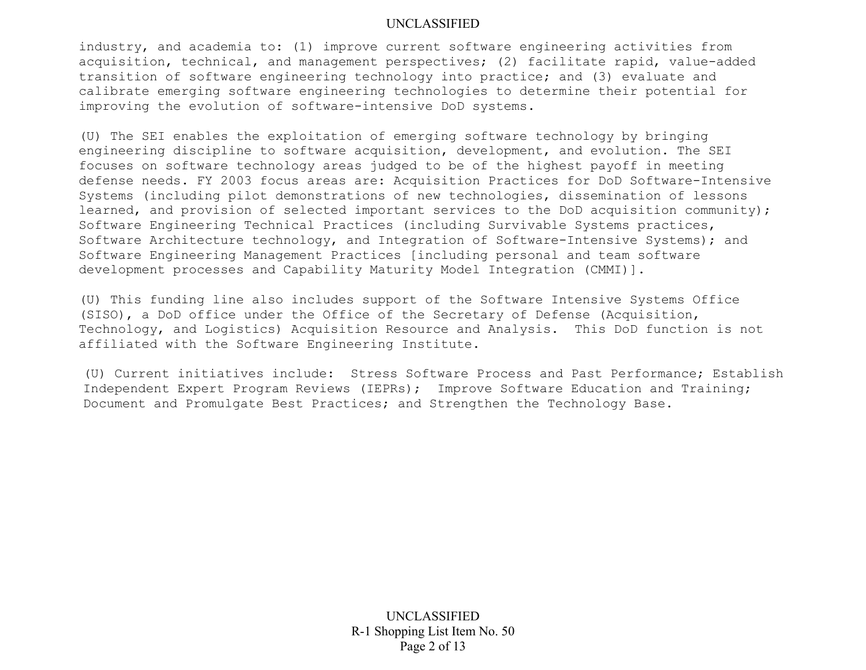industry, and academia to: (1) improve current software engineering activities from acquisition, technical, and management perspectives; (2) facilitate rapid, value-added transition of software engineering technology into practice; and (3) evaluate and calibrate emerging software engineering technologies to determine their potential for improving the evolution of software-intensive DoD systems.

(U) The SEI enables the exploitation of emerging software technology by bringing engineering discipline to software acquisition, development, and evolution. The SEI focuses on software technology areas judged to be of the highest payoff in meeting defense needs. FY 2003 focus areas are: Acquisition Practices for DoD Software-Intensive Systems (including pilot demonstrations of new technologies, dissemination of lessons learned, and provision of selected important services to the DoD acquisition community); Software Engineering Technical Practices (including Survivable Systems practices, Software Architecture technology, and Integration of Software-Intensive Systems); and Software Engineering Management Practices [including personal and team software development processes and Capability Maturity Model Integration (CMMI)].

(U) This funding line also includes support of the Software Intensive Systems Office (SISO), a DoD office under the Office of the Secretary of Defense (Acquisition, Technology, and Logistics) Acquisition Resource and Analysis. This DoD function is not affiliated with the Software Engineering Institute.

(U) Current initiatives include: Stress Software Process and Past Performance; Establish Independent Expert Program Reviews (IEPRs); Improve Software Education and Training; Document and Promulgate Best Practices; and Strengthen the Technology Base.

> UNCLASSIFIED R-1 Shopping List Item No. 50 Page 2 of 13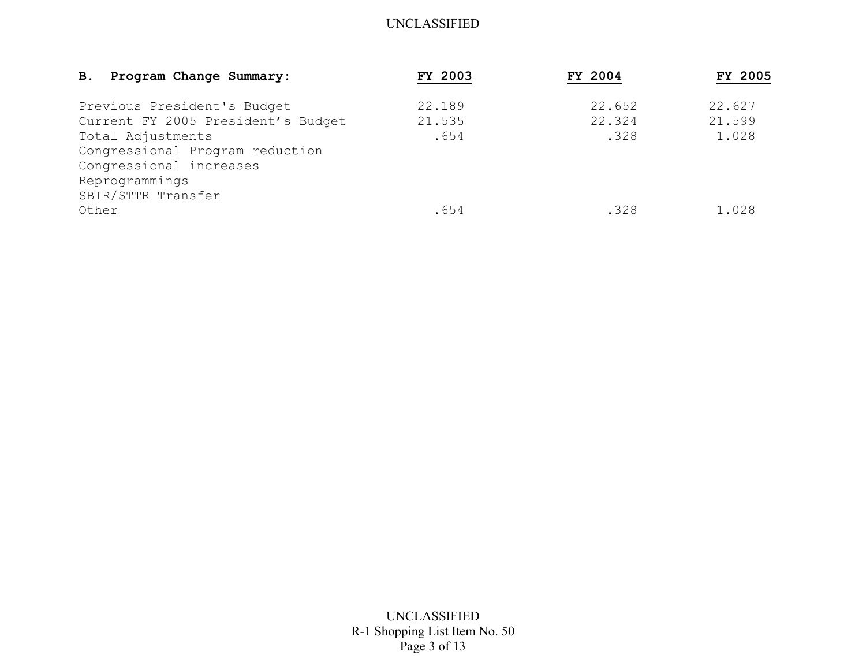| Program Change Summary:<br><b>B.</b> | <b>FY 2003</b> | FY 2004 | FY 2005 |
|--------------------------------------|----------------|---------|---------|
| Previous President's Budget          | 22.189         | 22.652  | 22.627  |
| Current FY 2005 President's Budget   | 21.535         | 22.324  | 21.599  |
| Total Adjustments                    | .654           | .328    | 1.028   |
| Congressional Program reduction      |                |         |         |
| Congressional increases              |                |         |         |
| Reprogrammings                       |                |         |         |
| SBIR/STTR Transfer                   |                |         |         |
| Other                                | .654           | .328    | 1.028   |

UNCLASSIFIED R-1 Shopping List Item No. 50 Page 3 of 13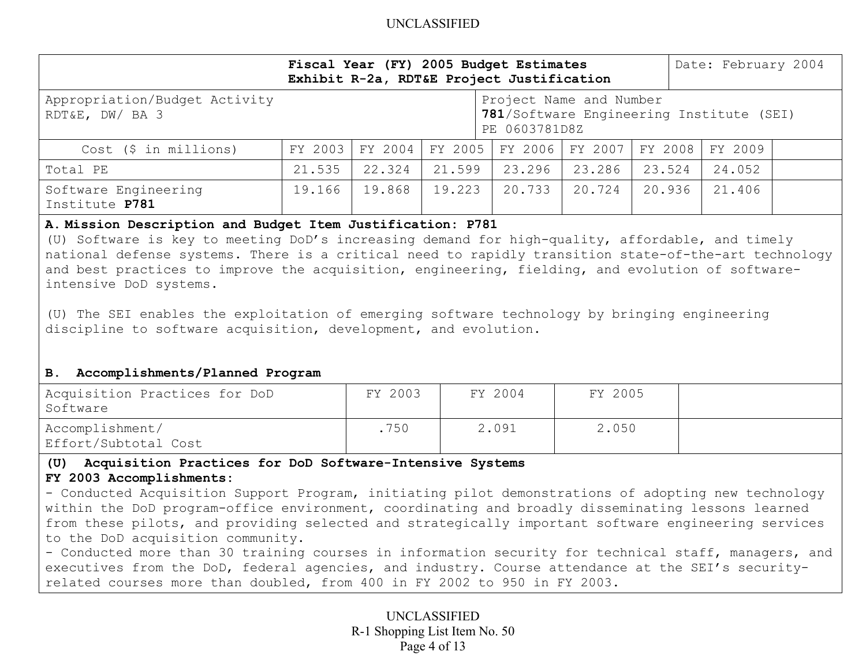|                                                                                                                                                                                                                                                                                                                                                                                                                                                                                                                                                          |         | Fiscal Year (FY) 2005 Budget Estimates<br>Exhibit R-2a, RDT&E Project Justification |         | Date: February 2004                      |         |         |                                          |  |  |  |  |
|----------------------------------------------------------------------------------------------------------------------------------------------------------------------------------------------------------------------------------------------------------------------------------------------------------------------------------------------------------------------------------------------------------------------------------------------------------------------------------------------------------------------------------------------------------|---------|-------------------------------------------------------------------------------------|---------|------------------------------------------|---------|---------|------------------------------------------|--|--|--|--|
| Appropriation/Budget Activity<br>RDT&E, DW/ BA 3                                                                                                                                                                                                                                                                                                                                                                                                                                                                                                         |         |                                                                                     |         | Project Name and Number<br>PE 0603781D8Z |         |         | 781/Software Engineering Institute (SEI) |  |  |  |  |
| $Cost$ (\$ in millions)                                                                                                                                                                                                                                                                                                                                                                                                                                                                                                                                  | FY 2003 | FY 2004                                                                             | FY 2005 | FY 2006                                  | FY 2007 | FY 2008 | FY 2009                                  |  |  |  |  |
| Total PE                                                                                                                                                                                                                                                                                                                                                                                                                                                                                                                                                 | 21.535  | 22.324                                                                              | 21.599  | 23.296                                   | 23.286  | 23.524  | 24.052                                   |  |  |  |  |
| Software Engineering<br>Institute P781                                                                                                                                                                                                                                                                                                                                                                                                                                                                                                                   | 19.166  | 19.868                                                                              | 19.223  | 20.733                                   | 20.724  | 20.936  | 21.406                                   |  |  |  |  |
| (U) Software is key to meeting DoD's increasing demand for high-quality, affordable, and timely<br>national defense systems. There is a critical need to rapidly transition state-of-the-art technology<br>and best practices to improve the acquisition, engineering, fielding, and evolution of software-<br>intensive DoD systems.<br>(U) The SEI enables the exploitation of emerging software technology by bringing engineering<br>discipline to software acquisition, development, and evolution.<br>Accomplishments/Planned Program<br><b>B.</b> |         |                                                                                     |         |                                          |         |         |                                          |  |  |  |  |
| Acquisition Practices for DoD<br>Software                                                                                                                                                                                                                                                                                                                                                                                                                                                                                                                |         | FY 2003                                                                             |         | FY 2004                                  | FY 2005 |         |                                          |  |  |  |  |
| Accomplishment/<br>Effort/Subtotal Cost                                                                                                                                                                                                                                                                                                                                                                                                                                                                                                                  |         | .750                                                                                |         | 2.091                                    | 2.050   |         |                                          |  |  |  |  |
| Acquisition Practices for DoD Software-Intensive Systems<br>(U)<br>FY 2003 Accomplishments:<br>- Conducted Acquisition Support Program, initiating pilot demonstrations of adopting new technology<br>within the DoD program-office environment, coordinating and broadly disseminating lessons learned<br>from these pilots, and providing selected and strategically important software engineering services<br>to the DoD acquisition community.                                                                                                      |         |                                                                                     |         |                                          |         |         |                                          |  |  |  |  |

- Conducted more than 30 training courses in information security for technical staff, managers, and executives from the DoD, federal agencies, and industry. Course attendance at the SEI's securityrelated courses more than doubled, from 400 in FY 2002 to 950 in FY 2003.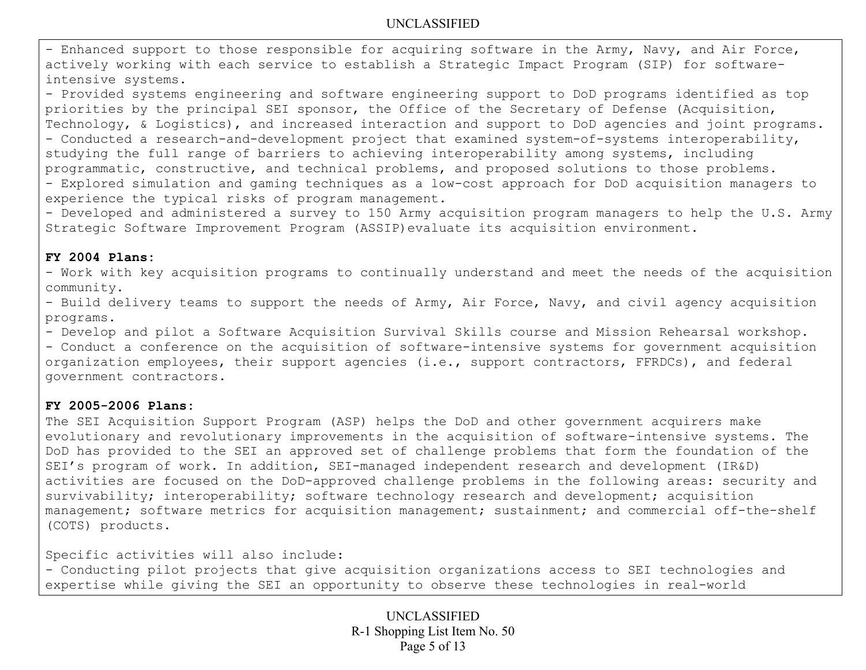- Enhanced support to those responsible for acquiring software in the Army, Navy, and Air Force, actively working with each service to establish a Strategic Impact Program (SIP) for softwareintensive systems.

- Provided systems engineering and software engineering support to DoD programs identified as top priorities by the principal SEI sponsor, the Office of the Secretary of Defense (Acquisition, Technology, & Logistics), and increased interaction and support to DoD agencies and joint programs. - Conducted a research-and-development project that examined system-of-systems interoperability, studying the full range of barriers to achieving interoperability among systems, including programmatic, constructive, and technical problems, and proposed solutions to those problems. - Explored simulation and gaming techniques as a low-cost approach for DoD acquisition managers to

experience the typical risks of program management.

- Developed and administered a survey to 150 Army acquisition program managers to help the U.S. Army Strategic Software Improvement Program (ASSIP)evaluate its acquisition environment.

### **FY 2004 Plans:**

- Work with key acquisition programs to continually understand and meet the needs of the acquisition community.

- Build delivery teams to support the needs of Army, Air Force, Navy, and civil agency acquisition programs.

- Develop and pilot a Software Acquisition Survival Skills course and Mission Rehearsal workshop.

- Conduct a conference on the acquisition of software-intensive systems for government acquisition organization employees, their support agencies (i.e., support contractors, FFRDCs), and federal government contractors.

## **FY 2005-2006 Plans:**

The SEI Acquisition Support Program (ASP) helps the DoD and other government acquirers make evolutionary and revolutionary improvements in the acquisition of software-intensive systems. The DoD has provided to the SEI an approved set of challenge problems that form the foundation of the SEI's program of work. In addition, SEI-managed independent research and development (IR&D) activities are focused on the DoD-approved challenge problems in the following areas: security and survivability; interoperability; software technology research and development; acquisition management; software metrics for acquisition management; sustainment; and commercial off-the-shelf (COTS) products.

Specific activities will also include:

- Conducting pilot projects that give acquisition organizations access to SEI technologies and expertise while giving the SEI an opportunity to observe these technologies in real-world

> UNCLASSIFIED R-1 Shopping List Item No. 50 Page 5 of 13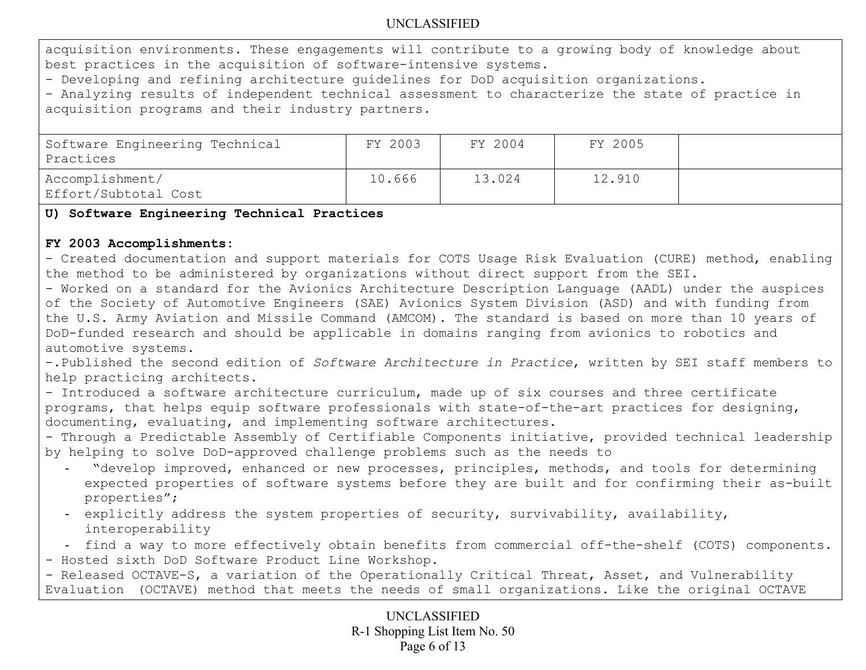acquisition environments. These engagements will contribute to a growing body of knowledge about best practices in the acquisition of software-intensive systems.

- Developing and refining architecture guidelines for DoD acquisition organizations.

- Analyzing results of independent technical assessment to characterize the state of practice in acquisition programs and their industry partners.

| Software Engineering Technical<br>  Practices | FY 2003 | FY 2004 | FY 2005 |  |
|-----------------------------------------------|---------|---------|---------|--|
| Accomplishment/<br>Effort/Subtotal Cost       | 10.666  | 13.024  | 12.910  |  |

## **U) Software Engineering Technical Practices**

## **FY 2003 Accomplishments:**

- Created documentation and support materials for COTS Usage Risk Evaluation (CURE) method, enabling the method to be administered by organizations without direct support from the SEI.

- Worked on a standard for the Avionics Architecture Description Language (AADL) under the auspices of the Society of Automotive Engineers (SAE) Avionics System Division (ASD) and with funding from the U.S. Army Aviation and Missile Command (AMCOM). The standard is based on more than 10 years of DoD-funded research and should be applicable in domains ranging from avionics to robotics and automotive systems.

-.Published the second edition of *Software Architecture in Practice*, written by SEI staff members to help practicing architects.

- Introduced a software architecture curriculum, made up of six courses and three certificate programs, that helps equip software professionals with state-of-the-art practices for designing, documenting, evaluating, and implementing software architectures.

- Through a Predictable Assembly of Certifiable Components initiative, provided technical leadership by helping to solve DoD-approved challenge problems such as the needs to

- "develop improved, enhanced or new processes, principles, methods, and tools for determining expected properties of software systems before they are built and for confirming their as-built properties";
- explicitly address the system properties of security, survivability, availability, interoperability

- find a way to more effectively obtain benefits from commercial off-the-shelf (COTS) components.

- Hosted sixth DoD Software Product Line Workshop.

- Released OCTAVE-S, a variation of the Operationally Critical Threat, Asset, and Vulnerability Evaluation (OCTAVE) method that meets the needs of small organizations. Like the original OCTAVE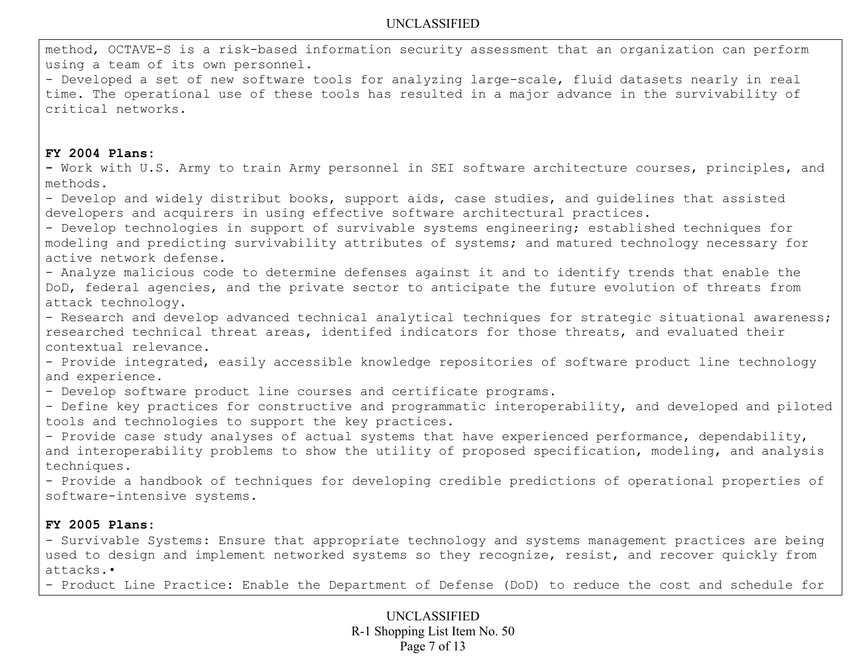method, OCTAVE-S is a risk-based information security assessment that an organization can perform using a team of its own personnel.

- Developed a set of new software tools for analyzing large-scale, fluid datasets nearly in real time. The operational use of these tools has resulted in a major advance in the survivability of critical networks.

#### **FY 2004 Plans:**

**-** Work with U.S. Army to train Army personnel in SEI software architecture courses, principles, and methods.

- Develop and widely distribut books, support aids, case studies, and guidelines that assisted developers and acquirers in using effective software architectural practices.

- Develop technologies in support of survivable systems engineering; established techniques for modeling and predicting survivability attributes of systems; and matured technology necessary for active network defense.

- Analyze malicious code to determine defenses against it and to identify trends that enable the DoD, federal agencies, and the private sector to anticipate the future evolution of threats from attack technology.

- Research and develop advanced technical analytical techniques for strategic situational awareness; researched technical threat areas, identifed indicators for those threats, and evaluated their contextual relevance.

- Provide integrated, easily accessible knowledge repositories of software product line technology and experience.

- Develop software product line courses and certificate programs.

- Define key practices for constructive and programmatic interoperability, and developed and piloted tools and technologies to support the key practices.

- Provide case study analyses of actual systems that have experienced performance, dependability, and interoperability problems to show the utility of proposed specification, modeling, and analysis techniques.

- Provide a handbook of techniques for developing credible predictions of operational properties of software-intensive systems.

### **FY 2005 Plans:**

- Survivable Systems: Ensure that appropriate technology and systems management practices are being used to design and implement networked systems so they recognize, resist, and recover quickly from attacks.•

- Product Line Practice: Enable the Department of Defense (DoD) to reduce the cost and schedule for

UNCLASSIFIED R-1 Shopping List Item No. 50 Page 7 of 13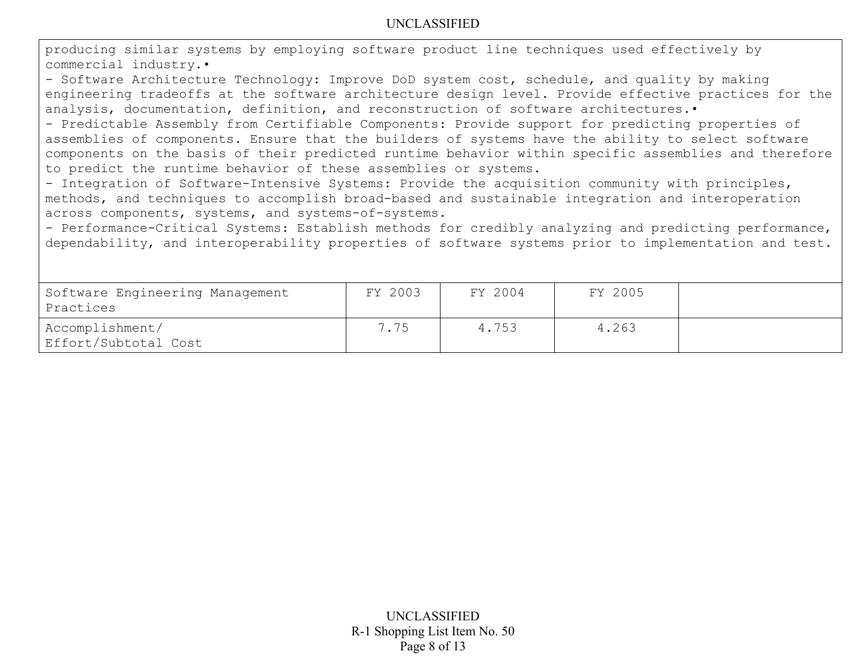producing similar systems by employing software product line techniques used effectively by commercial industry.•

- Software Architecture Technology: Improve DoD system cost, schedule, and quality by making engineering tradeoffs at the software architecture design level. Provide effective practices for the analysis, documentation, definition, and reconstruction of software architectures. •

- Predictable Assembly from Certifiable Components: Provide support for predicting properties of assemblies of components. Ensure that the builders of systems have the ability to select software components on the basis of their predicted runtime behavior within specific assemblies and therefore to predict the runtime behavior of these assemblies or systems.

- Integration of Software-Intensive Systems: Provide the acquisition community with principles, methods, and techniques to accomplish broad-based and sustainable integration and interoperation across components, systems, and systems-of-systems.

- Performance-Critical Systems: Establish methods for credibly analyzing and predicting performance, dependability, and interoperability properties of software systems prior to implementation and test.

| Software Engineering Management<br>Practices | FY 2003 | FY 2004 | FY 2005 |  |
|----------------------------------------------|---------|---------|---------|--|
| Accomplishment/<br>  Effort/Subtotal Cost    | 7.75    | 4.753   | 4.263   |  |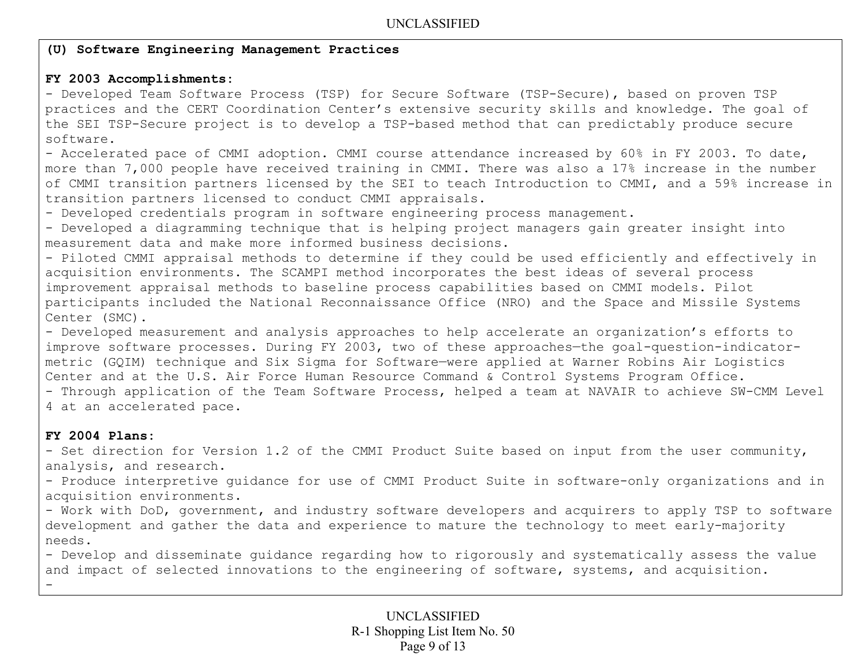## **(U) Software Engineering Management Practices**

## **FY 2003 Accomplishments:**

- Developed Team Software Process (TSP) for Secure Software (TSP-Secure), based on proven TSP practices and the CERT Coordination Center's extensive security skills and knowledge. The goal of the SEI TSP-Secure project is to develop a TSP-based method that can predictably produce secure software.

- Accelerated pace of CMMI adoption. CMMI course attendance increased by 60% in FY 2003. To date, more than 7,000 people have received training in CMMI. There was also a 17% increase in the number of CMMI transition partners licensed by the SEI to teach Introduction to CMMI, and a 59% increase in transition partners licensed to conduct CMMI appraisals.

- Developed credentials program in software engineering process management.

- Developed a diagramming technique that is helping project managers gain greater insight into measurement data and make more informed business decisions.

- Piloted CMMI appraisal methods to determine if they could be used efficiently and effectively in acquisition environments. The SCAMPI method incorporates the best ideas of several process improvement appraisal methods to baseline process capabilities based on CMMI models. Pilot participants included the National Reconnaissance Office (NRO) and the Space and Missile Systems Center (SMC).

- Developed measurement and analysis approaches to help accelerate an organization's efforts to improve software processes. During FY 2003, two of these approaches—the goal-question-indicatormetric (GQIM) technique and Six Sigma for Software—were applied at Warner Robins Air Logistics Center and at the U.S. Air Force Human Resource Command & Control Systems Program Office.

- Through application of the Team Software Process, helped a team at NAVAIR to achieve SW-CMM Level 4 at an accelerated pace.

## **FY 2004 Plans:**

-

- Set direction for Version 1.2 of the CMMI Product Suite based on input from the user community, analysis, and research.

- Produce interpretive guidance for use of CMMI Product Suite in software-only organizations and in acquisition environments.

- Work with DoD, government, and industry software developers and acquirers to apply TSP to software development and gather the data and experience to mature the technology to meet early-majority needs.

- Develop and disseminate guidance regarding how to rigorously and systematically assess the value and impact of selected innovations to the engineering of software, systems, and acquisition.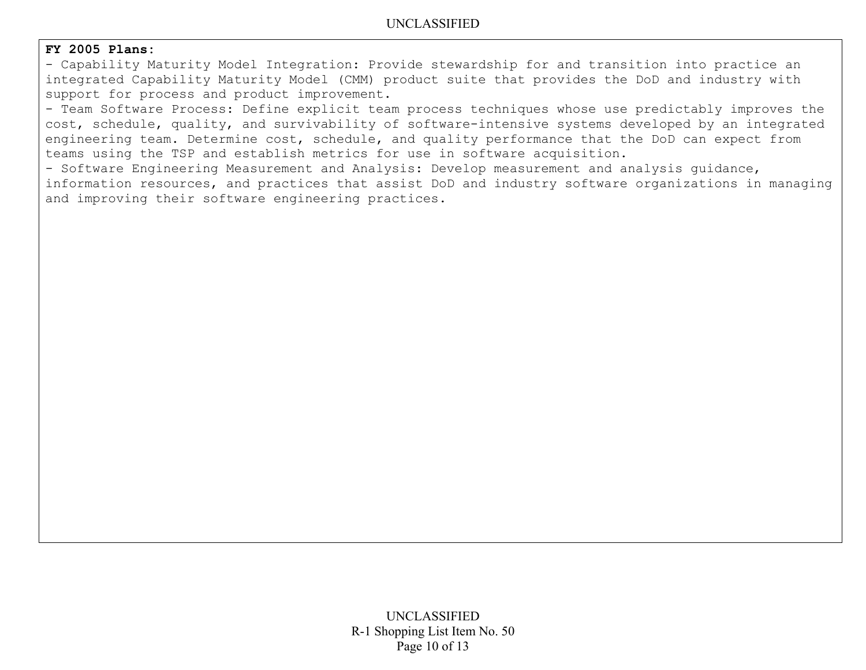### **FY 2005 Plans:**

- Capability Maturity Model Integration: Provide stewardship for and transition into practice an integrated Capability Maturity Model (CMM) product suite that provides the DoD and industry with support for process and product improvement.

- Team Software Process: Define explicit team process techniques whose use predictably improves the cost, schedule, quality, and survivability of software-intensive systems developed by an integrated engineering team. Determine cost, schedule, and quality performance that the DoD can expect from teams using the TSP and establish metrics for use in software acquisition.

- Software Engineering Measurement and Analysis: Develop measurement and analysis guidance, information resources, and practices that assist DoD and industry software organizations in managing and improving their software engineering practices.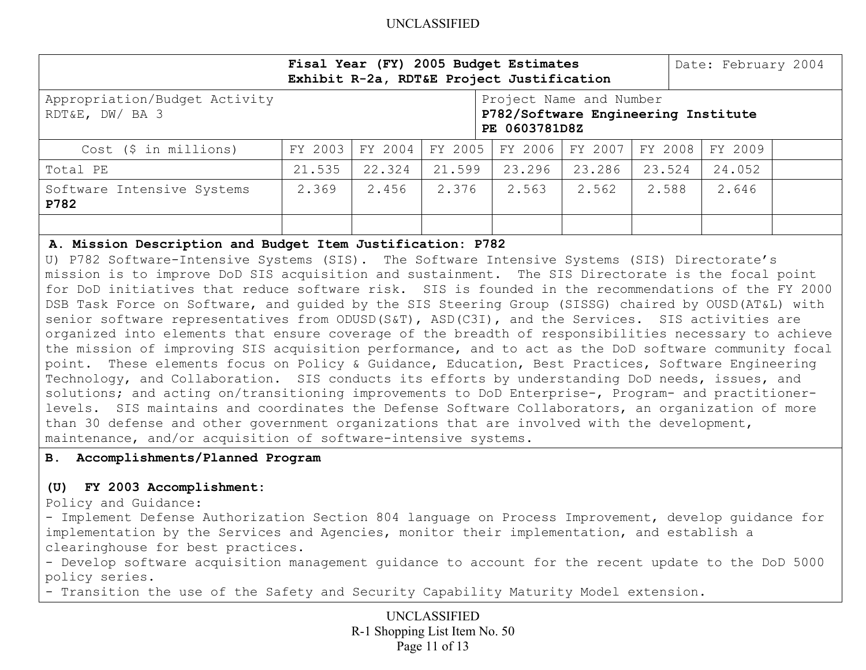|                                                  | Fisal Year (FY) 2005 Budget Estimates<br>Exhibit R-2a, RDT&E Project Justification |         |         |         |         |         | Date: February 2004 |  |
|--------------------------------------------------|------------------------------------------------------------------------------------|---------|---------|---------|---------|---------|---------------------|--|
| Appropriation/Budget Activity<br>RDT&E, DW/ BA 3 | Project Name and Number<br>P782/Software Engineering Institute<br>PE 0603781D8Z    |         |         |         |         |         |                     |  |
| $Cost$ (\$ in millions)                          | FY 2003                                                                            | FY 2004 | FY 2005 | FY 2006 | FY 2007 | FY 2008 | FY 2009             |  |
| Total PE                                         | 21.535                                                                             | 22.324  | 21.599  | 23.296  | 23.286  | 23.524  | 24.052              |  |
| Software Intensive Systems<br>P782               | 2.369                                                                              | 2.456   | 2.376   | 2.563   | 2.562   | 2.588   | 2.646               |  |
|                                                  |                                                                                    |         |         |         |         |         |                     |  |

#### **A. Mission Description and Budget Item Justification: P782**

U) P782 Software-Intensive Systems (SIS). The Software Intensive Systems (SIS) Directorate's mission is to improve DoD SIS acquisition and sustainment. The SIS Directorate is the focal point for DoD initiatives that reduce software risk. SIS is founded in the recommendations of the FY 2000 DSB Task Force on Software, and guided by the SIS Steering Group (SISSG) chaired by OUSD(AT&L) with senior software representatives from ODUSD(S&T), ASD(C3I), and the Services. SIS activities are organized into elements that ensure coverage of the breadth of responsibilities necessary to achieve the mission of improving SIS acquisition performance, and to act as the DoD software community focal point. These elements focus on Policy & Guidance, Education, Best Practices, Software Engineering Technology, and Collaboration. SIS conducts its efforts by understanding DoD needs, issues, and solutions; and acting on/transitioning improvements to DoD Enterprise-, Program- and practitionerlevels. SIS maintains and coordinates the Defense Software Collaborators, an organization of more than 30 defense and other government organizations that are involved with the development, maintenance, and/or acquisition of software-intensive systems.

#### **B. Accomplishments/Planned Program**

#### **(U) FY 2003 Accomplishment:**

Policy and Guidance:

- Implement Defense Authorization Section 804 language on Process Improvement, develop guidance for implementation by the Services and Agencies, monitor their implementation, and establish a clearinghouse for best practices.

- Develop software acquisition management guidance to account for the recent update to the DoD 5000 policy series.

- Transition the use of the Safety and Security Capability Maturity Model extension.

UNCLASSIFIED R-1 Shopping List Item No. 50 Page 11 of 13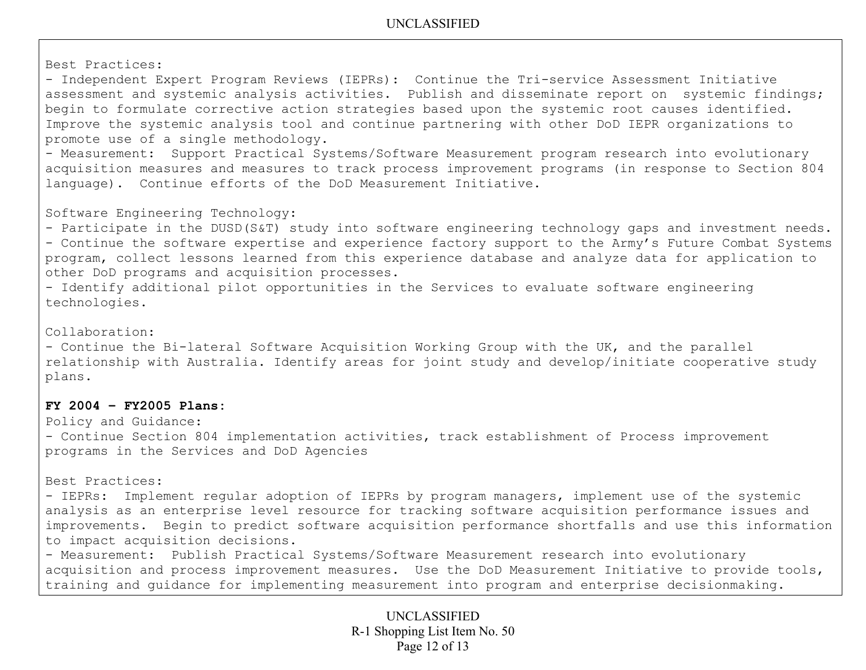Best Practices:

- Independent Expert Program Reviews (IEPRs): Continue the Tri-service Assessment Initiative assessment and systemic analysis activities. Publish and disseminate report on systemic findings; begin to formulate corrective action strategies based upon the systemic root causes identified. Improve the systemic analysis tool and continue partnering with other DoD IEPR organizations to promote use of a single methodology.

- Measurement: Support Practical Systems/Software Measurement program research into evolutionary acquisition measures and measures to track process improvement programs (in response to Section 804 language). Continue efforts of the DoD Measurement Initiative.

Software Engineering Technology:

- Participate in the DUSD(S&T) study into software engineering technology gaps and investment needs. - Continue the software expertise and experience factory support to the Army's Future Combat Systems program, collect lessons learned from this experience database and analyze data for application to other DoD programs and acquisition processes.

- Identify additional pilot opportunities in the Services to evaluate software engineering technologies.

Collaboration:

- Continue the Bi-lateral Software Acquisition Working Group with the UK, and the parallel relationship with Australia. Identify areas for joint study and develop/initiate cooperative study plans.

## **FY 2004 – FY2005 Plans:**

Policy and Guidance:

- Continue Section 804 implementation activities, track establishment of Process improvement programs in the Services and DoD Agencies

Best Practices:

- IEPRs: Implement regular adoption of IEPRs by program managers, implement use of the systemic analysis as an enterprise level resource for tracking software acquisition performance issues and improvements. Begin to predict software acquisition performance shortfalls and use this information to impact acquisition decisions.

- Measurement: Publish Practical Systems/Software Measurement research into evolutionary acquisition and process improvement measures. Use the DoD Measurement Initiative to provide tools, training and guidance for implementing measurement into program and enterprise decisionmaking.

> UNCLASSIFIED R-1 Shopping List Item No. 50 Page 12 of 13